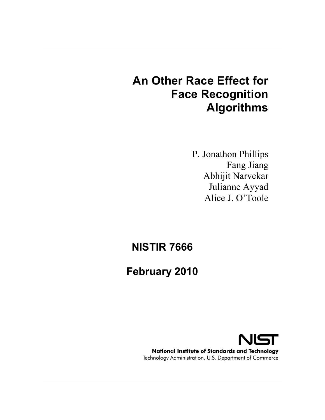# **An Other Race Effect for Face Recognition Algorithms**

P. Jonathon Phillips Fang Jiang Abhijit Narvekar Julianne Ayyad Alice J. O'Toole

# **NISTIR 7666**

# **February 2010**

NĿ **National Institute of Standards and Technology** Technology Administration, U.S. Department of Commerce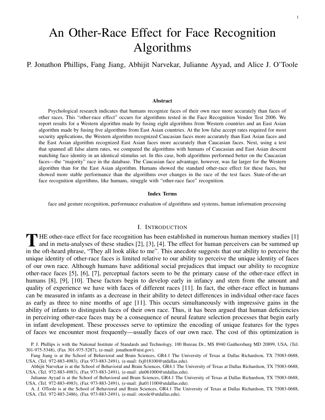# An Other-Race Effect for Face Recognition Algorithms

P. Jonathon Phillips, Fang Jiang, Abhijit Narvekar, Julianne Ayyad, and Alice J. O'Toole

#### Abstract

Psychological research indicates that humans recognize faces of their own race more accurately than faces of other races. This "other-race effect" occurs for algorithms tested in the Face Recognition Vendor Test 2006. We report results for a Western algorithm made by fusing eight algorithms from Western countries and an East Asian algorithm made by fusing five algorithms from East Asian countries. At the low false accept rates required for most security applications, the Western algorithm recognized Caucasian faces more accurately than East Asian faces and the East Asian algorithm recognized East Asian faces more accurately than Caucasian faces. Next, using a test that spanned all false alarm rates, we compared the algorithms with humans of Caucasian and East Asian descent matching face identity in an identical stimulus set. In this case, both algorithms performed better on the Caucasian faces—the "majority" race in the database. The Caucasian face advantage, however, was far larger for the Western algorithm than for the East Asian algorithm. Humans showed the standard other-race effect for these faces, but showed more stable performance than the algorithms over changes in the race of the test faces. State-of-the-art face recognition algorithms, like humans, struggle with "other-race face" recognition.

#### Index Terms

face and gesture recognition, performance evaluation of algorithms and systems, human information processing

### I. INTRODUCTION

THE other-race effect for face recognition has been established in numerous human memory studies [1]<br>and in meta-analyses of these studies [2], [3], [4]. The effect for human perceivers can be summed up<br>in the eff-based al and in meta-analyses of these studies [2], [3], [4]. The effect for human perceivers can be summed up in the oft-heard phrase, "They all look alike to me". This anecdote suggests that our ability to perceive the unique identity of other-race faces is limited relative to our ability to perceive the unique identity of faces of our own race. Although humans have additional social prejudices that impact our ability to recognize other-race faces [5], [6], [7], perceptual factors seem to be the primary cause of the other-race effect in humans [8], [9], [10]. These factors begin to develop early in infancy and stem from the amount and quality of experience we have with faces of different races [11]. In fact, the other-race effect in humans can be measured in infants as a decrease in their ability to detect differences in individual other-race faces as early as three to nine months of age [11]. This occurs simultaneously with impressive gains in the ability of infants to distinguish faces of their own race. Thus, it has been argued that human deficiencies in perceiving other-race faces may be a consequence of neural feature selection processes that begin early in infant development. These processes serve to optimize the encoding of unique features for the types of faces we encounter most frequently—usually faces of our own race. The cost of this optimization is

P. J. Phillips is with the National Institute of Standards and Technology, 100 Bureau Dr., MS 8940 Gaithersburg MD 20899, USA, (Tel. 301-975-5348), (Fax 301-975-5287), (e-mail: jonathon@nist.gov).

Fang Jiang is at the School of Behavioral and Brain Sciences, GR4.1 The University of Texas at Dallas Richardson, TX 75083-0688, USA, (Tel. 972-883-4983), (Fax 973-883-2491), (e-mail: fxj018100@utdallas.edu).

Abhijit Narvekar is at the School of Behavioral and Brain Sciences, GR4.1 The University of Texas at Dallas Richardson, TX 75083-0688, USA, (Tel. 972-883-4983), (Fax 973-883-2491), (e-mail: aln061000@utdallas.edu).

Julianne Ayyad is at the School of Behavioral and Brain Sciences, GR4.1 The University of Texas at Dallas Richardson, TX 75083-0688, USA, (Tel. 972-883-4983), (Fax 973-883-2491), (e-mail: jha011100@utdallas.edu).

A. J. OToole is at the School of Behavioral and Brain Sciences, GR4.1 The University of Texas at Dallas Richardson, TX 75083-0688, USA, (Tel. 972-883-2486), (Fax 973-883-2491), (e-mail: otoole@utdallas.edu).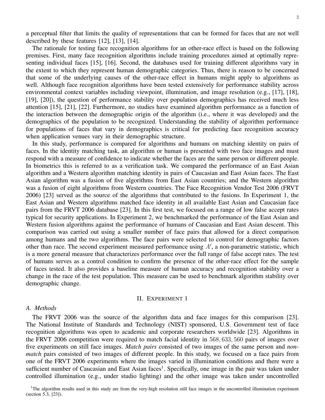a perceptual filter that limits the quality of representations that can be formed for faces that are not well described by these features [12], [13], [14].

The rationale for testing face recognition algorithms for an other-race effect is based on the following premises. First, many face recognition algorithms include training procedures aimed at optimally representing individual faces [15], [16]. Second, the databases used for training different algorithms vary in the extent to which they represent human demographic categories. Thus, there is reason to be concerned that some of the underlying causes of the other-race effect in humans might apply to algorithms as well. Although face recognition algorithms have been tested extensively for performance stability across environmental context variables including viewpoint, illumination, and image resolution (e.g., [17], [18], [19], [20]), the question of performance stability over population demographics has received much less attention [15], [21], [22]. Furthermore, no studies have examined algorithm performance as a function of the interaction between the demographic origin of the algorithm (i.e., where it was developed) and the demographics of the population to be recognized. Understanding the stability of algorithm performance for populations of faces that vary in demographics is critical for predicting face recognition accuracy when application venues vary in their demographic structure.

In this study, performance is compared for algorithms and humans on matching identity on pairs of faces. In the identity matching task, an algorithm or human is presented with two face images and must respond with a measure of confidence to indicate whether the faces are the same person or different people. In biometrics this is referred to as a verification task. We compared the performance of an East Asian algorithm and a Western algorithm matching identity in pairs of Caucasian and East Asian faces. The East Asian algorithm was a fusion of five algorithms from East Asian countries; and the Western algorithm was a fusion of eight algorithms from Western countries. The Face Recognition Vendor Test 2006 (FRVT 2006) [23] served as the source of the algorithms that contributed to the fusions. In Experiment 1, the East Asian and Western algorithms matched face identity in all available East Asian and Caucasian face pairs from the FRVT 2006 database [23]. In this first test, we focused on a range of low false accept rates typical for security applications. In Experiment 2, we benchmarked the performance of the East Asian and Western fusion algorithms against the performance of humans of Caucasian and East Asian descent. This comparison was carried out using a smaller number of face pairs that allowed for a direct comparison among humans and the two algorithms. The face pairs were selected to control for demographic factors other than race. The second experiment measured performance using  $A'$ , a non-parametric statistic, which is a more general measure that characterizes performance over the full range of false accept rates. The test of humans serves as a control condition to confirm the presence of the other-race effect for the sample of faces tested. It also provides a baseline measure of human accuracy and recognition stability over a change in the race of the test population. This measure can be used to benchmark algorithm stability over demographic change.

### II. EXPERIMENT 1

### *A. Methods*

The FRVT 2006 was the source of the algorithm data and face images for this comparison [23]. The National Institute of Standards and Technology (NIST) sponsored, U.S. Government test of face recognition algorithms was open to academic and corporate researchers worldwide [23]. Algorithms in the FRVT 2006 competition were required to match facial identity in 568, 633, 560 pairs of images over five experiments on still face images. *Match pairs* consisted of two images of the same person and *nonmatch* pairs consisted of two images of different people. In this study, we focused on a face pairs from one of the FRVT 2006 experiments where the images varied in illumination conditions and there were a sufficient number of Caucasian and East Asian faces<sup>1</sup>. Specifically, one image in the pair was taken under controlled illumination (e.g., under studio lighting) and the other image was taken under uncontrolled

 $1$ The algorithm results used in this study are from the very-high resolution still face images in the uncontrolled illumination experiment (section 5.3, [23]).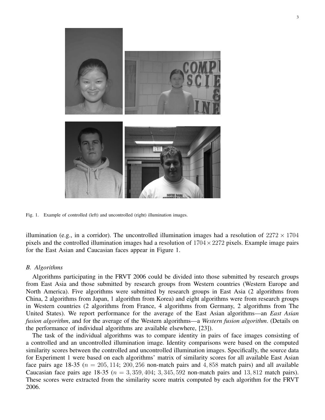

Fig. 1. Example of controlled (left) and uncontrolled (right) illumination images.

illumination (e.g., in a corridor). The uncontrolled illumination images had a resolution of  $2272 \times 1704$ pixels and the controlled illumination images had a resolution of  $1704 \times 2272$  pixels. Example image pairs for the East Asian and Caucasian faces appear in Figure 1.

#### *B. Algorithms*

Algorithms participating in the FRVT 2006 could be divided into those submitted by research groups from East Asia and those submitted by research groups from Western countries (Western Europe and North America). Five algorithms were submitted by research groups in East Asia (2 algorithms from China, 2 algorithms from Japan, 1 algorithm from Korea) and eight algorithms were from research groups in Western countries (2 algorithms from France, 4 algorithms from Germany, 2 algorithms from The United States). We report performance for the average of the East Asian algorithms—an *East Asian fusion algorithm*, and for the average of the Western algorithms—a *Western fusion algorithm*. (Details on the performance of individual algorithms are available elsewhere, [23]).

The task of the individual algorithms was to compare identity in pairs of face images consisting of a controlled and an uncontrolled illumination image. Identity comparisons were based on the computed similarity scores between the controlled and uncontrolled illumination images. Specifically, the source data for Experiment 1 were based on each algorithms' matrix of similarity scores for all available East Asian face pairs age 18-35 ( $n = 205, 114$ ; 200, 256 non-match pairs and 4,858 match pairs) and all available Caucasian face pairs age 18-35 ( $n = 3,359,404; 3,345,592$  non-match pairs and 13,812 match pairs). These scores were extracted from the similarity score matrix computed by each algorithm for the FRVT 2006.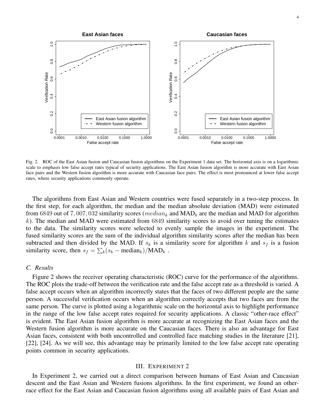

Fig. 2. ROC of the East Asian fusion and Caucasian fusion algorithms on the Experiment 1 data set. The horizontal axis is on a logarithmic scale to emphasis low false accept rates typical of security applications. The East Asian fusion algorithm is more accurate with East Asian face pairs and the Western fusion algorithm is more accurate with Caucasian face pairs. The effect is most pronounced at lower false accept rates, where security applications commonly operate.

The algorithms from East Asian and Western countries were fused separately in a two-step process. In the first step, for each algorithm, the median and the median absolute deviation (MAD) were estimated from 6849 out of 7,007,032 similarity scores (*median<sub>k</sub>* and MAD<sub>k</sub> are the median and MAD for algorithm  $k$ ). The median and MAD were estimated from  $6849$  similarity scores to avoid over tuning the estimates to the data. The similarity scores were selected to evenly sample the images in the experiment. The fused similarity scores are the sum of the individual algorithm similarity scores after the median has been subtracted and then divided by the MAD. If  $s_k$  is a similarity score for algorithm k and  $s_f$  is a fusion similarity score, then  $s_f = \sum_k (s_k - \text{median}_k) / \text{MAD}_k$ .

#### *C. Results*

Figure 2 shows the receiver operating characteristic (ROC) curve for the performance of the algorithms. The ROC plots the trade-off between the verification rate and the false accept rate as a threshold is varied. A false accept occurs when an algorithm incorrectly states that the faces of two different people are the same person. A successful verification occurs when an algorithm correctly accepts that two faces are from the same person. The curve is plotted using a logarithmic scale on the horizontal axis to highlight performance in the range of the low false accept rates required for security applications. A classic "other-race effect" is evident. The East Asian fusion algorithm is more accurate at recognizing the East Asian faces and the Western fusion algorithm is more accurate on the Caucasian faces. There is also an advantage for East Asian faces, consistent with both uncontrolled and controlled face matching studies in the literature [21], [22], [24]. As we will see, this advantage may be primarily limited to the low false accept rate operating points common in security applications.

### III. EXPERIMENT 2

In Experiment 2, we carried out a direct comparison between humans of East Asian and Caucasian descent and the East Asian and Western fusions algorithms. In the first experiment, we found an otherrace effect for the East Asian and Caucasian fusion algorithms using all available pairs of East Asian and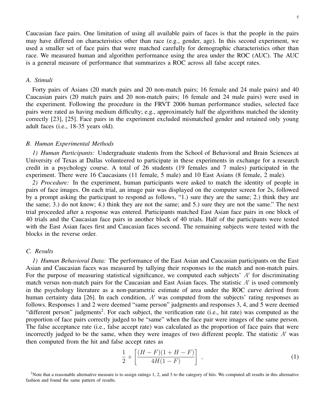Caucasian face pairs. One limitation of using all available pairs of faces is that the people in the pairs may have differed on characteristics other than race (e.g., gender, age). In this second experiment, we used a smaller set of face pairs that were matched carefully for demographic characteristics other than race. We measured human and algorithm performance using the area under the ROC (AUC). The AUC is a general measure of performance that summarizes a ROC across all false accept rates.

#### *A. Stimuli*

Forty pairs of Asians (20 match pairs and 20 non-match pairs; 16 female and 24 male pairs) and 40 Caucasian pairs (20 match pairs and 20 non-match pairs; 16 female and 24 male pairs) were used in the experiment. Following the procedure in the FRVT 2006 human performance studies, selected face pairs were rated as having medium difficulty; e.g., approximately half the algorithms matched the identity correctly [23], [25]. Face pairs in the experiment excluded mismatched gender and retained only young adult faces (i.e., 18-35 years old).

#### *B. Human Experimental Methods*

*1) Human Participants:* Undergraduate students from the School of Behavioral and Brain Sciences at University of Texas at Dallas volunteered to participate in these experiments in exchange for a research credit in a psychology course. A total of 26 students (19 females and 7 males) participated in the experiment. There were 16 Caucasians (11 female, 5 male) and 10 East Asians (8 female, 2 male).

*2) Procedure:* In the experiment, human participants were asked to match the identity of people in pairs of face images. On each trial, an image pair was displayed on the computer screen for 2s, followed by a prompt asking the participant to respond as follows, "1.) sure they are the same; 2.) think they are the same; 3.) do not know; 4.) think they are not the same; and 5.) sure they are not the same." The next trial proceeded after a response was entered. Participants matched East Asian face pairs in one block of 40 trials and the Caucasian face pairs in another block of 40 trials. Half of the participants were tested with the East Asian faces first and Caucasian faces second. The remaining subjects were tested with the blocks in the reverse order.

#### *C. Results*

*1) Human Behavioral Data:* The performance of the East Asian and Caucasian participants on the East Asian and Caucasian faces was measured by tallying their responses to the match and non-match pairs. For the purpose of measuring statistical significance, we computed each subjects'  $A'$  for discriminating match versus non-match pairs for the Caucasian and East Asian faces. The statistic  $A'$  is used commonly in the psychology literature as a non-parametric estimate of area under the ROC curve derived from human certainty data [26]. In each condition,  $A'$  was computed from the subjects' rating responses as follows. Responses 1 and 2 were deemed "same person" judgments and responses 3, 4, and 5 were deemed "different person" judgments<sup>2</sup>. For each subject, the verification rate (i.e., hit rate) was computed as the proportion of face pairs correctly judged to be "same" when the face pair were images of the same person. The false acceptance rate (i.e., false accept rate) was calculated as the proportion of face pairs that were incorrectly judged to be the same, when they were images of two different people. The statistic  $A'$  was then computed from the hit and false accept rates as

$$
\frac{1}{2} + \left[ \frac{(H - F)(1 + H - F)}{4H(1 - F)} \right],
$$
\n(1)

<sup>2</sup>Note that a reasonable alternative measure is to assign ratings 1, 2, and 3 to the category of hits. We computed all results in this alternative fashion and found the same pattern of results.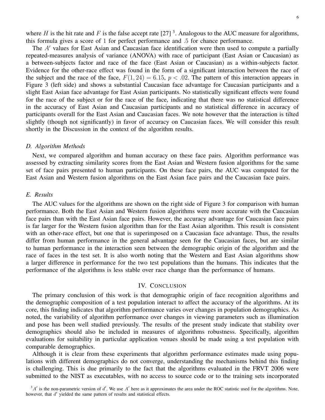where H is the hit rate and F is the false accept rate [27]<sup>3</sup>. Analogous to the AUC measure for algorithms, this formula gives a score of 1 for perfect performance and .5 for chance performance.

The  $A'$  values for East Asian and Caucasian face identification were then used to compute a partially repeated-measures analysis of variance (ANOVA) with race of participant (East Asian or Caucasian) as a between-subjects factor and race of the face (East Asian or Caucasian) as a within-subjects factor. Evidence for the other-race effect was found in the form of a significant interaction between the race of the subject and the race of the face,  $F(1, 24) = 6.15$ ,  $p < .02$ . The pattern of this interaction appears in Figure 3 (left side) and shows a substantial Caucasian face advantage for Caucasian participants and a slight East Asian face advantage for East Asian participants. No statistically significant effects were found for the race of the subject or for the race of the face, indicating that there was no statistical difference in the accuracy of East Asian and Caucasian participants and no statistical difference in accuracy of participants overall for the East Asian and Caucasian faces. We note however that the interaction is tilted slightly (though not significantly) in favor of accuracy on Caucasian faces. We will consider this result shortly in the Discussion in the context of the algorithm results.

#### *D. Algorithm Methods*

Next, we compared algorithm and human accuracy on these face pairs. Algorithm performance was assessed by extracting similarity scores from the East Asian and Western fusion algorithms for the same set of face pairs presented to human participants. On these face pairs, the AUC was computed for the East Asian and Western fusion algorithms on the East Asian face pairs and the Caucasian face pairs.

#### *E. Results*

The AUC values for the algorithms are shown on the right side of Figure 3 for comparison with human performance. Both the East Asian and Western fusion algorithms were more accurate with the Caucasian face pairs than with the East Asian face pairs. However, the accuracy advantage for Caucasian face pairs is far larger for the Western fusion algorithm than for the East Asian algorithm. This result is consistent with an other-race effect, but one that is superimposed on a Caucasian face advantage. Thus, the results differ from human performance in the general advantage seen for the Caucasian faces, but are similar to human performance in the interaction seen between the demographic origin of the algorithm and the race of faces in the test set. It is also worth noting that the Western and East Asian algorithms show a larger difference in performance for the two test populations than the humans. This indicates that the performance of the algorithms is less stable over race change than the performance of humans.

### IV. CONCLUSION

The primary conclusion of this work is that demographic origin of face recognition algorithms and the demographic composition of a test population interact to affect the accuracy of the algorithms. At its core, this finding indicates that algorithm performance varies over changes in population demographics. As noted, the variability of algorithm performance over changes in viewing parameters such as illumination and pose has been well studied previously. The results of the present study indicate that stability over demographics should also be included in measures of algorithms robustness. Specifically, algorithm evaluations for suitability in particular application venues should be made using a test population with comparable demographics.

Although it is clear from these experiments that algorithm performance estimates made using populations with different demographics do not converge, understanding the mechanisms behind this finding is challenging. This is due primarily to the fact that the algorithms evaluated in the FRVT 2006 were submitted to the NIST as executables, with no access to source code or to the training sets incorporated

 ${}^{3}A'$  is the non-parametric version of d'. We use A' here as it approximates the area under the ROC statistic used for the algorithms. Note, however, that  $d'$  yielded the same pattern of results and statistical effects.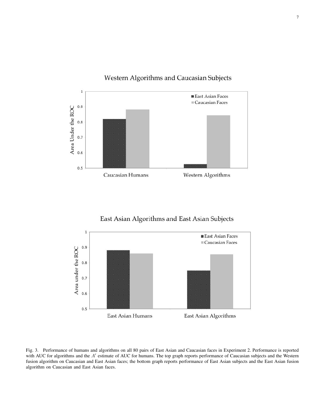

## East Asian Algorithms and East Asian Subjects  $\,1\,$ **S** East Asian Faces Caucasian Faces  $0.9$ Area under the ROC  $0.8$  $0.7$  $0.6$  $0.5$ East Asian Humans East Asian Algorithms

Fig. 3. Performance of humans and algorithms on all 80 pairs of East Asian and Caucasian faces in Experiment 2. Performance is reported with AUC for algorithms and the  $A'$  estimate of AUC for humans. The top graph reports performance of Caucasian subjects and the Western fusion algorithm on Caucasian and East Asian faces; the bottom graph reports performance of East Asian subjects and the East Asian fusion algorithm on Caucasian and East Asian faces.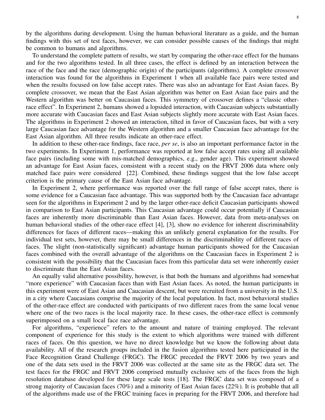by the algorithms during development. Using the human behavioral literature as a guide, and the human findings with this set of test faces, however, we can consider possible causes of the findings that might be common to humans and algorithms.

To understand the complete pattern of results, we start by comparing the other-race effect for the humans and for the two algorithms tested. In all three cases, the effect is defined by an interaction between the race of the face and the race (demographic origin) of the participants (algorithms). A complete crossover interaction was found for the algorithms in Experiment 1 when all available face pairs were tested and when the results focused on low false accept rates. There was also an advantage for East Asian faces. By complete crossover, we mean that the East Asian algorithm was better on East Asian face pairs and the Western algorithm was better on Caucasian faces. This symmetry of crossover defines a "classic otherrace effect". In Experiment 2, humans showed a lopsided interaction, with Caucasian subjects substantially more accurate with Caucasian faces and East Asian subjects slightly more accurate with East Asian faces. The algorithms in Experiment 2 showed an interaction, tilted in favor of Caucasian faces, but with a very large Caucasian face advantage for the Western algorithm and a smaller Caucasian face advantage for the East Asian algorithm. All three results indicate an other-race effect.

In addition to these other-race findings, face race, *per se*, is also an important performance factor in the two experiments. In Experiment 1, performance was reported at low false accept rates using all available face pairs (including some with mis-matched demographics, e.g., gender age). This experiment showed an advantage for East Asian faces, consistent with a recent study on the FRVT 2006 data where only matched face pairs were considered [22]. Combined, these findings suggest that the low false accept criterion is the primary cause of the East Asian face advantage.

In Experiment 2, where performance was reported over the full range of false accept rates, there is some evidence for a Caucasian face advantage. This was supported both by the Caucasian face advantage seen for the algorithms in Experiment 2 and by the larger other-race deficit Caucasian participants showed in comparison to East Asian participants. This Caucasian advantage could occur potentially if Caucasian faces are inherently more discriminable than East Asian faces. However, data from meta-analyses on human behavioral studies of the other-race effect [4], [3], show no evidence for inherent discriminability differences for faces of different races—making this an unlikely general explanation for the results. For individual test sets, however, there may be small differences in the discriminability of different races of faces. The slight (non-statistically significant) advantage human participants showed for the Caucasian faces combined with the overall advantage of the algorithms on the Caucasian faces in Experiment 2 is consistent with the possibility that the Caucasian faces from this particular data set were inherently easier to discriminate than the East Asian faces.

An equally valid alternative possibility, however, is that both the humans and algorithms had somewhat "more experience" with Caucasian faces than with East Asian faces. As noted, the human participants in this experiment were of East Asian and Caucasian descent, but were recruited from a university in the U.S. in a city where Caucasians comprise the majority of the local population. In fact, most behavioral studies of the other-race effect are conducted with participants of two different races from the same local venue where one of the two races is the local majority race. In these cases, the other-race effect is commonly superimposed on a small local face race advantage.

For algorithms, "experience" refers to the amount and nature of training employed. The relevant component of experience for this study is the extent to which algorithms were trained with different races of faces. On this question, we have no direct knowledge but we know the following about data availability. All of the research groups included in the fusion algorithms tested here participated in the Face Recognition Grand Challenge (FRGC). The FRGC preceded the FRVT 2006 by two years and one of the data sets used in the FRVT 2006 was collected at the same site as the FRGC data set. The test faces for the FRGC and FRVT 2006 comprised mutually exclusive sets of the faces from the high resolution database developed for these large scale tests [18]. The FRGC data set was composed of a strong majority of Caucasian faces (70%) and a minority of East Asian faces (22%). It is probable that all of the algorithms made use of the FRGC training faces in preparing for the FRVT 2006, and therefore had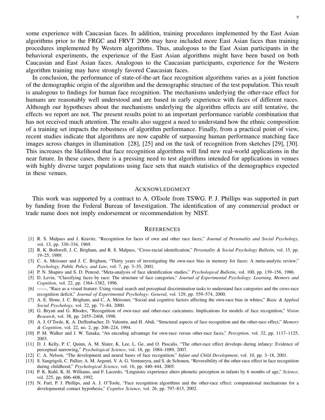some experience with Caucasian faces. In addition, training procedures implemented by the East Asian algorithms prior to the FRGC and FRVT 2006 may have included more East Asian faces than training procedures implemented by Western algorithms. Thus, analogous to the East Asian participants in the behavioral experiments, the experience of the East Asian algorithms might have been based on both Caucasian and East Asian faces. Analogous to the Caucasian participants, experience for the Western algorithm training may have strongly favored Caucasian faces.

In conclusion, the performance of state-of-the-art face recognition algorithms varies as a joint function of the demographic origin of the algorithm and the demographic structure of the test population. This result is analogous to findings for human face recognition. The mechanisms underlying the other-race effect for humans are reasonably well understood and are based in early experience with faces of different races. Although our hypotheses about the mechanisms underlying the algorithm effects are still tentative, the effects we report are not. The present results point to an important performance variable combination that has not received much attention. The results also suggest a need to understand how the ethnic composition of a training set impacts the robustness of algorithm performance. Finally, from a practical point of view, recent studies indicate that algorithms are now capable of surpassing human performance matching face images across changes in illumination [28], [25] and on the task of recognition from sketches [29], [30]. This increases the likelihood that face recognition algorithms will find new real-world applications in the near future. In these cases, there is a pressing need to test algorithms intended for applications in venues with highly diverse target populations using face sets that match statistics of the demographics expected in these venues.

#### ACKNOWLEDGMENT

This work was supported by a contract to A. OToole from TSWG. P. J. Phillips was supported in part by funding from the Federal Bureau of Investigation. The identification of any commercial product or trade name does not imply endorsement or recommendation by NIST.

#### **REFERENCES**

- [1] R. S. Malpass and J. Kravitz, "Recognition for faces of own and other race faces," *Journal of Personality and Social Psychology*, vol. 13, pp. 330–334, 1969.
- [2] R. K. Bothwell, J. C. Brigham, and R. S. Malpass, "Cross-racial identification," *Personality & Social Psychology Bulletin*, vol. 15, pp. 19–25, 1989.
- [3] C. A. Meissner and J. C. Brigham, "Thirty years of investigating the own-race bias in memory for faces: A meta-analytic review," *Psychology, Public Policy, and Law*, vol. 7, pp. 3–35, 2001.
- [4] P. N. Shapiro and S. D. Penrod, "Meta-analysis of face identification studies," *Psychological Bulletin*, vol. 100, pp. 139–156, 1986.
- [5] D. Levin, "Classifying faces by race: The structure of face categories," *Journal of Experimental Psychology: Learning, Memory and Cognition*, vol. 22, pp. 1364–1382, 1996.
- [6] ——, "Race as a visual feature: Using visual search and perceptual discrimination tasks to understand face categories and the cross-race recognition deficit," *Journal of Experimental Psychology: General*, vol. 129, pp. 559–574, 2000.
- [7] A. E. Slone, J. C. Brigham, and C. A. Meissner, "Social and cognitive factors affecting the own-race bias in whites," *Basic & Applied Social Psychology*, vol. 22, pp. 71–84, 2000.
- [8] G. Bryatt and G. Rhodes, "Recognition of own-race and other-race caricatures: Implications for models of face recognition," *Vision Research*, vol. 38, pp. 2455–2468, 1998.
- [9] A. J. O'Toole, K. A. Deffenbacher, D. Valentin, and H. Abdi, "Structural aspects of face recognition and the other-race effect," *Memory & Cognition*, vol. 22, no. 2, pp. 208–224, 1994.
- [10] P. M. Walker and J. W. Tanaka, "An encoding advantage for own-race versus other-race faces," *Perception*, vol. 32, pp. 1117–1125, 2003.
- [11] D. J. Kelly, P. C. Quinn, A. M. Slater, K. Lee, L. Ge, and O. Pascalis, "The other-race effect develops during infancy: Evidence of perceptual narrowing," *Psychological Science*, vol. 18, pp. 1084–1089, 2007.
- [12] C. A. Nelson, "The development and neural bases of face recognition," *Infant and Child Development*, vol. 10, pp. 3–18, 2001.
- [13] S. Sangrigoli, C. Pallier, A. M. Argenti, V. A. G. Ventureyra, and S. de Schonen, "Reversibility of the other-race effect in face recognition during childhood," *Psychological Science*, vol. 16, pp. 440–444, 2005.
- [14] P. K. Kuhl, K. H. Williams, and F. Lacerdo, "Linguistic experience alters phonetic perception in infants by 6 months of age," *Science*, vol. 225, pp. 606–608, 1992.
- [15] N. Furl, P. J. Phillips, and A. J. O'Toole, "Face recognition algorithms and the other-race effect: computational mechanisms for a developmental contact hypothesis," *Cognitve Science*, vol. 26, pp. 797–815, 2002.